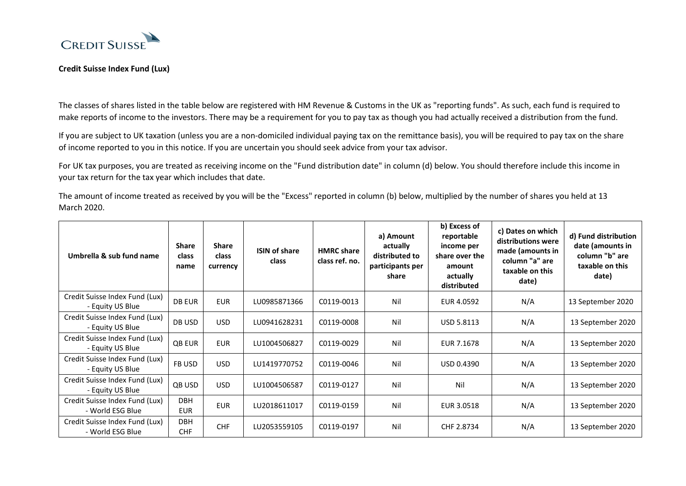

## **Credit Suisse Index Fund (Lux)**

The classes of shares listed in the table below are registered with HM Revenue & Customs in the UK as "reporting funds". As such, each fund is required to make reports of income to the investors. There may be a requirement for you to pay tax as though you had actually received a distribution from the fund.

If you are subject to UK taxation (unless you are a non-domiciled individual paying tax on the remittance basis), you will be required to pay tax on the share of income reported to you in this notice. If you are uncertain you should seek advice from your tax advisor.

For UK tax purposes, you are treated as receiving income on the "Fund distribution date" in column (d) below. You should therefore include this income in your tax return for the tax year which includes that date.

The amount of income treated as received by you will be the "Excess" reported in column (b) below, multiplied by the number of shares you held at 13 March 2020.

| Umbrella & sub fund name                           | <b>Share</b><br>class<br>name | <b>Share</b><br><b>class</b><br>currency | <b>ISIN of share</b><br>class | <b>HMRC</b> share<br>class ref. no. | a) Amount<br>actually<br>distributed to<br>participants per<br>share | b) Excess of<br>reportable<br>income per<br>share over the<br>amount<br>actually<br>distributed | c) Dates on which<br>distributions were<br>made (amounts in<br>column "a" are<br>taxable on this<br>date) | d) Fund distribution<br>date (amounts in<br>column "b" are<br>taxable on this<br>date) |
|----------------------------------------------------|-------------------------------|------------------------------------------|-------------------------------|-------------------------------------|----------------------------------------------------------------------|-------------------------------------------------------------------------------------------------|-----------------------------------------------------------------------------------------------------------|----------------------------------------------------------------------------------------|
| Credit Suisse Index Fund (Lux)<br>- Equity US Blue | <b>DB EUR</b>                 | <b>EUR</b>                               | LU0985871366                  | C0119-0013                          | Nil                                                                  | EUR 4.0592                                                                                      | N/A                                                                                                       | 13 September 2020                                                                      |
| Credit Suisse Index Fund (Lux)<br>- Equity US Blue | DB USD                        | <b>USD</b>                               | LU0941628231                  | C0119-0008                          | Nil                                                                  | <b>USD 5.8113</b>                                                                               | N/A                                                                                                       | 13 September 2020                                                                      |
| Credit Suisse Index Fund (Lux)<br>- Equity US Blue | <b>QB EUR</b>                 | <b>EUR</b>                               | LU1004506827                  | C0119-0029                          | Nil                                                                  | EUR 7.1678                                                                                      | N/A                                                                                                       | 13 September 2020                                                                      |
| Credit Suisse Index Fund (Lux)<br>- Equity US Blue | FB USD                        | <b>USD</b>                               | LU1419770752                  | C0119-0046                          | Nil                                                                  | USD 0.4390                                                                                      | N/A                                                                                                       | 13 September 2020                                                                      |
| Credit Suisse Index Fund (Lux)<br>- Equity US Blue | QB USD                        | <b>USD</b>                               | LU1004506587                  | C0119-0127                          | Nil                                                                  | Nil                                                                                             | N/A                                                                                                       | 13 September 2020                                                                      |
| Credit Suisse Index Fund (Lux)<br>- World ESG Blue | <b>DBH</b><br><b>EUR</b>      | <b>EUR</b>                               | LU2018611017                  | C0119-0159                          | Nil                                                                  | EUR 3.0518                                                                                      | N/A                                                                                                       | 13 September 2020                                                                      |
| Credit Suisse Index Fund (Lux)<br>- World ESG Blue | <b>DBH</b><br><b>CHF</b>      | <b>CHF</b>                               | LU2053559105                  | C0119-0197                          | Nil                                                                  | CHF 2.8734                                                                                      | N/A                                                                                                       | 13 September 2020                                                                      |